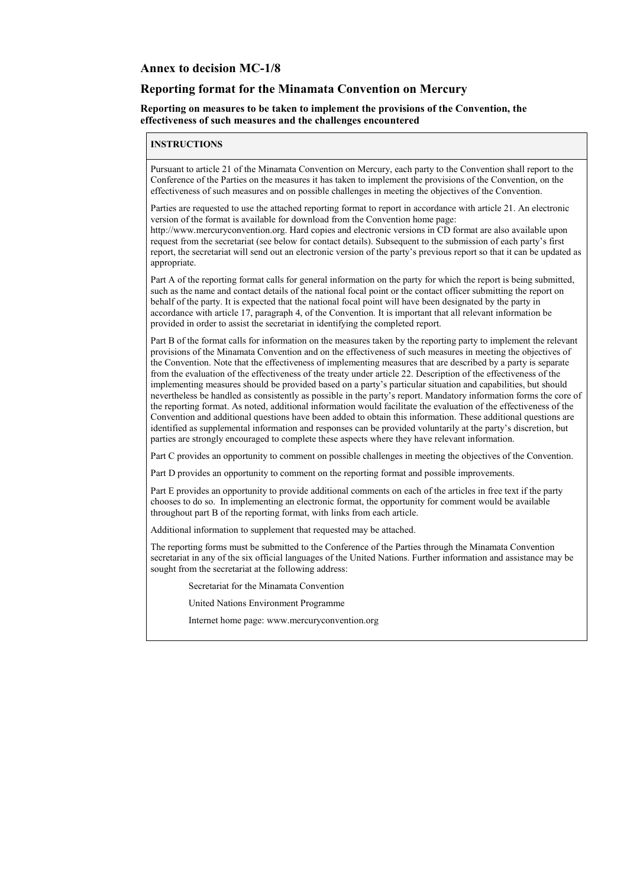#### **Annex to decision MC-1/8**

## **Reporting format for the Minamata Convention on Mercury**

#### **Reporting on measures to be taken to implement the provisions of the Convention, the effectiveness of such measures and the challenges encountered**

#### **INSTRUCTIONS**

Pursuant to article 21 of the Minamata Convention on Mercury, each party to the Convention shall report to the Conference of the Parties on the measures it has taken to implement the provisions of the Convention, on the effectiveness of such measures and on possible challenges in meeting the objectives of the Convention.

Parties are requested to use the attached reporting format to report in accordance with article 21. An electronic version of the format is available for download from the Convention home page: [http://www.mercuryconvention.org.](http://www.mercuryconvention.org/) Hard copies and electronic versions in CD format are also available upon request from the secretariat (see below for contact details). Subsequent to the submission of each party's first report, the secretariat will send out an electronic version of the party's previous report so that it can be updated as appropriate.

Part A of the reporting format calls for general information on the party for which the report is being submitted, such as the name and contact details of the national focal point or the contact officer submitting the report on behalf of the party. It is expected that the national focal point will have been designated by the party in accordance with article 17, paragraph 4, of the Convention. It is important that all relevant information be provided in order to assist the secretariat in identifying the completed report.

Part B of the format calls for information on the measures taken by the reporting party to implement the relevant provisions of the Minamata Convention and on the effectiveness of such measures in meeting the objectives of the Convention. Note that the effectiveness of implementing measures that are described by a party is separate from the evaluation of the effectiveness of the treaty under article 22. Description of the effectiveness of the implementing measures should be provided based on a party's particular situation and capabilities, but should nevertheless be handled as consistently as possible in the party's report. Mandatory information forms the core of the reporting format. As noted, additional information would facilitate the evaluation of the effectiveness of the Convention and additional questions have been added to obtain this information. These additional questions are identified as supplemental information and responses can be provided voluntarily at the party's discretion, but parties are strongly encouraged to complete these aspects where they have relevant information.

Part C provides an opportunity to comment on possible challenges in meeting the objectives of the Convention.

Part D provides an opportunity to comment on the reporting format and possible improvements.

Part E provides an opportunity to provide additional comments on each of the articles in free text if the party chooses to do so. In implementing an electronic format, the opportunity for comment would be available throughout part B of the reporting format, with links from each article.

Additional information to supplement that requested may be attached.

The reporting forms must be submitted to the Conference of the Parties through the Minamata Convention secretariat in any of the six official languages of the United Nations. Further information and assistance may be sought from the secretariat at the following address:

Secretariat for the Minamata Convention

United Nations Environment Programme

Internet home page: www.mercuryconvention.org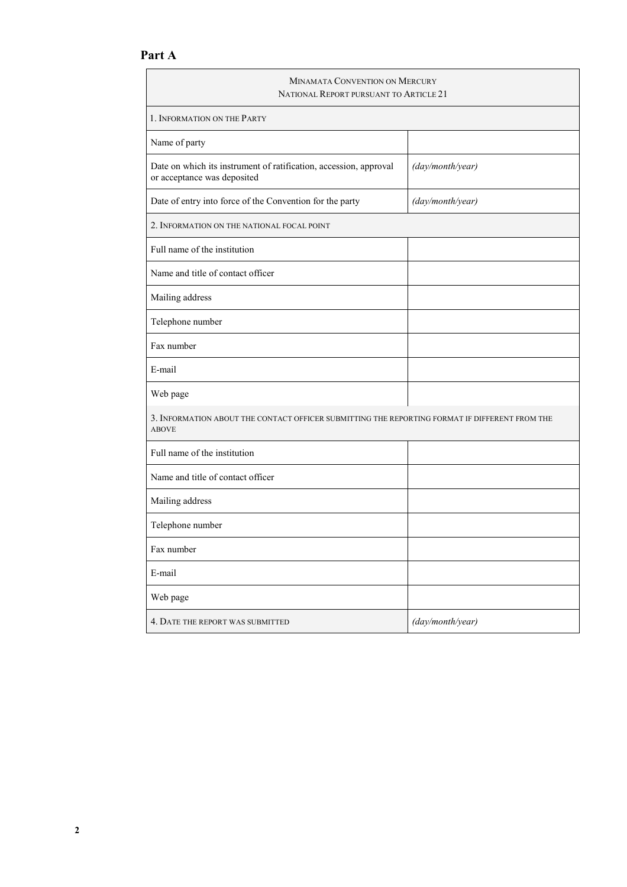# **Part A**

| MINAMATA CONVENTION ON MERCURY<br>NATIONAL REPORT PURSUANT TO ARTICLE 21                                       |                  |  |
|----------------------------------------------------------------------------------------------------------------|------------------|--|
| 1. INFORMATION ON THE PARTY                                                                                    |                  |  |
| Name of party                                                                                                  |                  |  |
| Date on which its instrument of ratification, accession, approval<br>or acceptance was deposited               | (day/month/year) |  |
| Date of entry into force of the Convention for the party                                                       | (day/month/year) |  |
| 2. INFORMATION ON THE NATIONAL FOCAL POINT                                                                     |                  |  |
| Full name of the institution                                                                                   |                  |  |
| Name and title of contact officer                                                                              |                  |  |
| Mailing address                                                                                                |                  |  |
| Telephone number                                                                                               |                  |  |
| Fax number                                                                                                     |                  |  |
| E-mail                                                                                                         |                  |  |
| Web page                                                                                                       |                  |  |
| 3. INFORMATION ABOUT THE CONTACT OFFICER SUBMITTING THE REPORTING FORMAT IF DIFFERENT FROM THE<br><b>ABOVE</b> |                  |  |
| Full name of the institution                                                                                   |                  |  |
| Name and title of contact officer                                                                              |                  |  |
| Mailing address                                                                                                |                  |  |
| Telephone number                                                                                               |                  |  |
| Fax number                                                                                                     |                  |  |
| E-mail                                                                                                         |                  |  |
| Web page                                                                                                       |                  |  |
| 4. DATE THE REPORT WAS SUBMITTED                                                                               | (day/month/year) |  |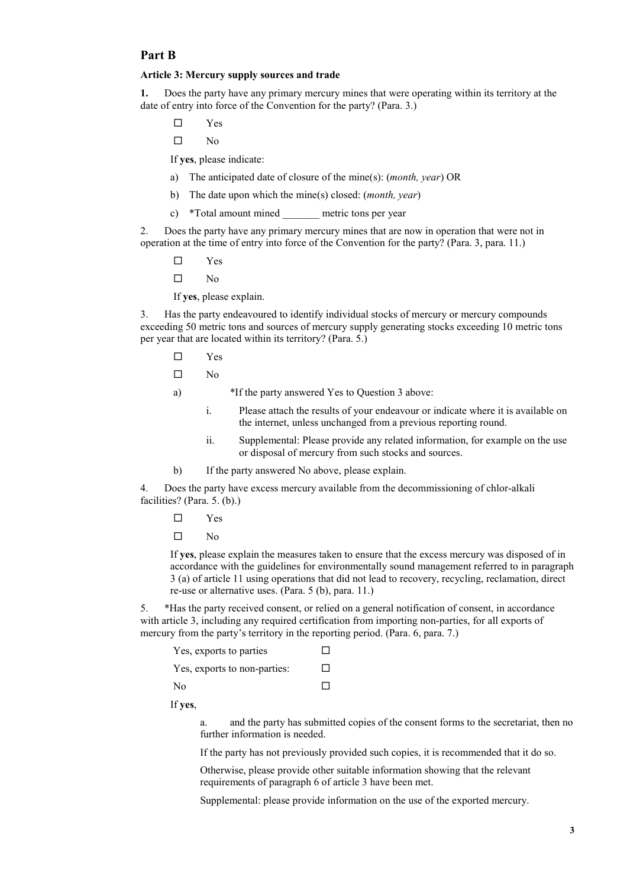## **Part B**

#### **Article 3: Mercury supply sources and trade**

**1.** Does the party have any primary mercury mines that were operating within its territory at the date of entry into force of the Convention for the party? (Para. 3.)

- Yes
- $\square$  No

If **yes**, please indicate:

- a) The anticipated date of closure of the mine(s): (*month, year*) OR
- b) The date upon which the mine(s) closed: (*month, year*)
- c) \*Total amount mined \_\_\_\_\_\_\_ metric tons per year

2. Does the party have any primary mercury mines that are now in operation that were not in operation at the time of entry into force of the Convention for the party? (Para. 3, para. 11.)

- Yes
- $\square$  No

If **yes**, please explain.

3. Has the party endeavoured to identify individual stocks of mercury or mercury compounds exceeding 50 metric tons and sources of mercury supply generating stocks exceeding 10 metric tons per year that are located within its territory? (Para. 5.)

- Yes
- $\square$  No
- a) \*If the party answered Yes to Question 3 above:
	- i. Please attach the results of your endeavour or indicate where it is available on the internet, unless unchanged from a previous reporting round.
	- ii. Supplemental: Please provide any related information, for example on the use or disposal of mercury from such stocks and sources.
- b) If the party answered No above, please explain.

4. Does the party have excess mercury available from the decommissioning of chlor-alkali facilities? (Para. 5. (b).)

- Yes
- $\square$  No

If **yes**, please explain the measures taken to ensure that the excess mercury was disposed of in accordance with the guidelines for environmentally sound management referred to in paragraph 3 (a) of article 11 using operations that did not lead to recovery, recycling, reclamation, direct re-use or alternative uses. (Para. 5 (b), para. 11.)

5. \*Has the party received consent, or relied on a general notification of consent, in accordance with article 3, including any required certification from importing non-parties, for all exports of mercury from the party's territory in the reporting period. (Para. 6, para. 7.)

| Yes, exports to parties      | $\perp$ |
|------------------------------|---------|
| Yes, exports to non-parties: | П       |
| No                           | $\Box$  |

If **yes**,

a. and the party has submitted copies of the consent forms to the secretariat, then no further information is needed.

If the party has not previously provided such copies, it is recommended that it do so.

Otherwise, please provide other suitable information showing that the relevant requirements of paragraph 6 of article 3 have been met.

Supplemental: please provide information on the use of the exported mercury.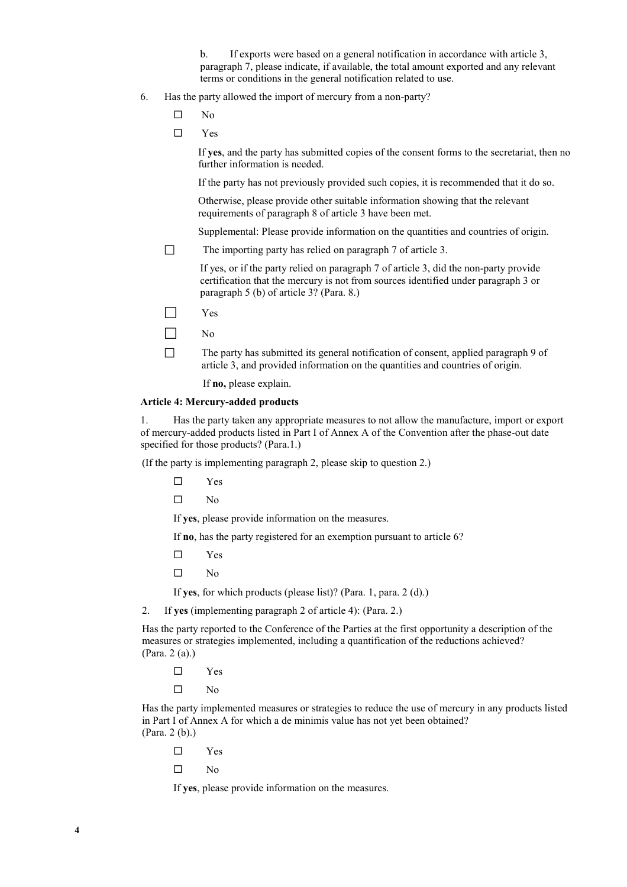b. If exports were based on a general notification in accordance with article 3, paragraph 7, please indicate, if available, the total amount exported and any relevant terms or conditions in the general notification related to use.

- 6. Has the party allowed the import of mercury from a non-party?
	- $\square$  No
	- Yes

If **yes**, and the party has submitted copies of the consent forms to the secretariat, then no further information is needed.

If the party has not previously provided such copies, it is recommended that it do so.

Otherwise, please provide other suitable information showing that the relevant requirements of paragraph 8 of article 3 have been met.

Supplemental: Please provide information on the quantities and countries of origin.

 $\Box$  The importing party has relied on paragraph 7 of article 3.

If yes, or if the party relied on paragraph 7 of article 3, did the non-party provide certification that the mercury is not from sources identified under paragraph 3 or paragraph 5 (b) of article 3? (Para. 8.)

- Yes
- $\Box$  No
- $\Box$  The party has submitted its general notification of consent, applied paragraph 9 of article 3, and provided information on the quantities and countries of origin.

If **no,** please explain.

#### **Article 4: Mercury-added products**

1. Has the party taken any appropriate measures to not allow the manufacture, import or export of mercury-added products listed in Part I of Annex A of the Convention after the phase-out date specified for those products? (Para.1.)

(If the party is implementing paragraph 2, please skip to question 2.)

Yes

 $\square$  No

If **yes**, please provide information on the measures.

If **no**, has the party registered for an exemption pursuant to article 6?

- Yes
- $\square$  No

If **yes**, for which products (please list)? (Para. 1, para. 2 (d).)

2. If **yes** (implementing paragraph 2 of article 4): (Para. 2.)

Has the party reported to the Conference of the Parties at the first opportunity a description of the measures or strategies implemented, including a quantification of the reductions achieved? (Para. 2 (a).)

Yes

 $\Box$  No

Has the party implemented measures or strategies to reduce the use of mercury in any products listed in Part I of Annex A for which a de minimis value has not yet been obtained? (Para. 2 (b).)

- Yes
- $\square$  No

If **yes**, please provide information on the measures.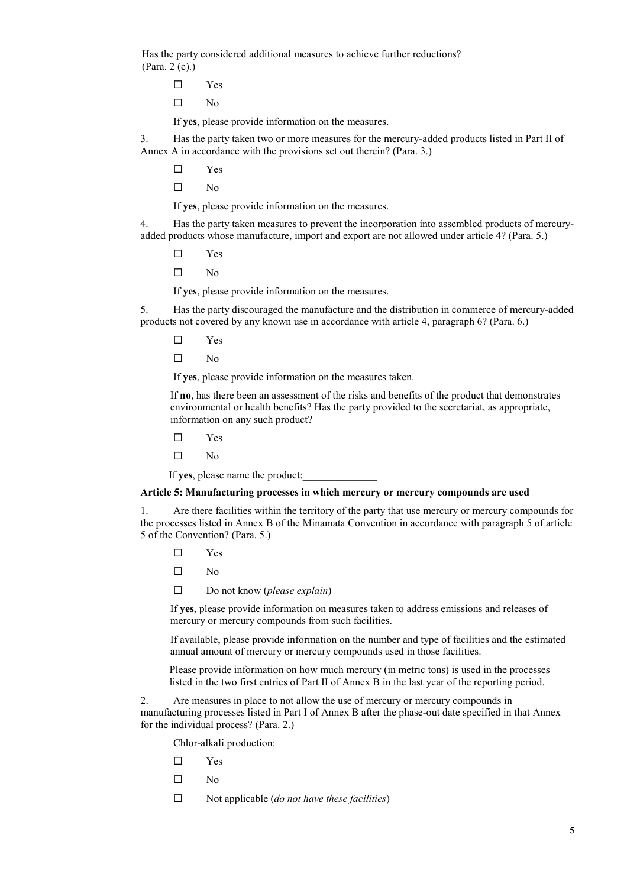Has the party considered additional measures to achieve further reductions? (Para. 2 (c).)

Yes

 $\square$  No

If **yes**, please provide information on the measures.

3. Has the party taken two or more measures for the mercury-added products listed in Part II of Annex A in accordance with the provisions set out therein? (Para. 3.)

 $\square$  Yes

 $\Box$  No

If **yes**, please provide information on the measures.

4. Has the party taken measures to prevent the incorporation into assembled products of mercuryadded products whose manufacture, import and export are not allowed under article 4? (Para. 5.)

Yes

 $\square$  No

If **yes**, please provide information on the measures.

5. Has the party discouraged the manufacture and the distribution in commerce of mercury-added products not covered by any known use in accordance with article 4, paragraph 6? (Para. 6.)

Yes

 $\square$  No

If **yes**, please provide information on the measures taken.

If **no**, has there been an assessment of the risks and benefits of the product that demonstrates environmental or health benefits? Has the party provided to the secretariat, as appropriate, information on any such product?

Yes

 $\Box$  No

If yes, please name the product:

#### **Article 5: Manufacturing processes in which mercury or mercury compounds are used**

1. Are there facilities within the territory of the party that use mercury or mercury compounds for the processes listed in Annex B of the Minamata Convention in accordance with paragraph 5 of article 5 of the Convention? (Para. 5.)

- Yes
- $\square$  No
- Do not know (*please explain*)

If **yes**, please provide information on measures taken to address emissions and releases of mercury or mercury compounds from such facilities.

If available, please provide information on the number and type of facilities and the estimated annual amount of mercury or mercury compounds used in those facilities.

Please provide information on how much mercury (in metric tons) is used in the processes listed in the two first entries of Part II of Annex B in the last year of the reporting period.

2. Are measures in place to not allow the use of mercury or mercury compounds in manufacturing processes listed in Part I of Annex B after the phase-out date specified in that Annex for the individual process? (Para. 2.)

Chlor-alkali production:

- $\neg$  Yes
- $\Box$  No
- Not applicable (*do not have these facilities*)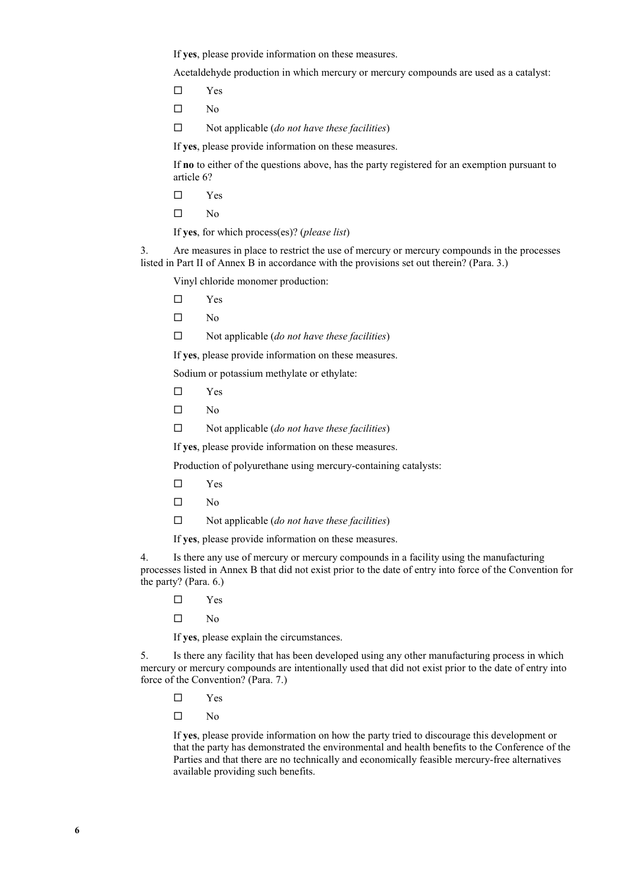If **yes**, please provide information on these measures.

Acetaldehyde production in which mercury or mercury compounds are used as a catalyst:

- Yes
- $\square$  No
- Not applicable (*do not have these facilities*)

If **yes**, please provide information on these measures.

If **no** to either of the questions above, has the party registered for an exemption pursuant to article 6?

- Yes
- $\square$  No

If **yes**, for which process(es)? (*please list*)

3. Are measures in place to restrict the use of mercury or mercury compounds in the processes listed in Part II of Annex B in accordance with the provisions set out therein? (Para. 3.)

Vinyl chloride monomer production:

- Yes
- $\square$  No
- Not applicable (*do not have these facilities*)

If **yes**, please provide information on these measures.

Sodium or potassium methylate or ethylate:

- $\square$  Yes
- $\square$  No
- Not applicable (*do not have these facilities*)

If **yes**, please provide information on these measures.

Production of polyurethane using mercury-containing catalysts:

- Yes
- $\square$  No
- Not applicable (*do not have these facilities*)
- If **yes**, please provide information on these measures.

4. Is there any use of mercury or mercury compounds in a facility using the manufacturing processes listed in Annex B that did not exist prior to the date of entry into force of the Convention for the party? (Para. 6.)

- Yes
- $\square$  No

If **yes**, please explain the circumstances.

5. Is there any facility that has been developed using any other manufacturing process in which mercury or mercury compounds are intentionally used that did not exist prior to the date of entry into force of the Convention? (Para. 7.)

- Yes
- $\Box$  No

If **yes**, please provide information on how the party tried to discourage this development or that the party has demonstrated the environmental and health benefits to the Conference of the Parties and that there are no technically and economically feasible mercury-free alternatives available providing such benefits.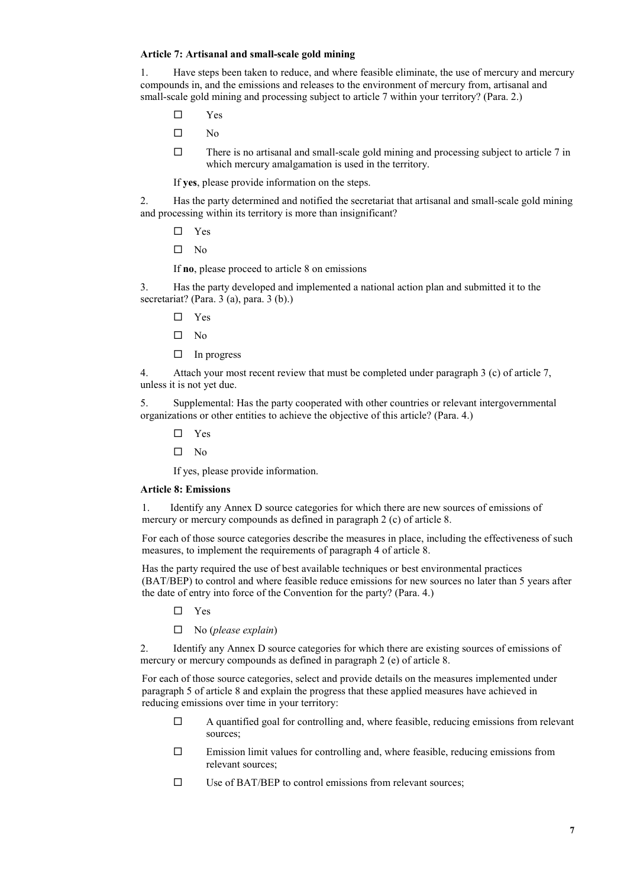#### **Article 7: Artisanal and small-scale gold mining**

1. Have steps been taken to reduce, and where feasible eliminate, the use of mercury and mercury compounds in, and the emissions and releases to the environment of mercury from, artisanal and small-scale gold mining and processing subject to article 7 within your territory? (Para. 2.)

- Yes
- $\square$  No
- $\Box$  There is no artisanal and small-scale gold mining and processing subject to article 7 in which mercury amalgamation is used in the territory.

If **yes**, please provide information on the steps.

2. Has the party determined and notified the secretariat that artisanal and small-scale gold mining and processing within its territory is more than insignificant?

- Yes
- $\square$  No

If **no**, please proceed to article 8 on emissions

3. Has the party developed and implemented a national action plan and submitted it to the secretariat? (Para. 3 (a), para. 3 (b).)

- □ Yes
- $\square$  No
- $\Box$  In progress

4. Attach your most recent review that must be completed under paragraph 3 (c) of article 7, unless it is not yet due.

5. Supplemental: Has the party cooperated with other countries or relevant intergovernmental organizations or other entities to achieve the objective of this article? (Para. 4.)

- □ Yes
- $\square$  No

If yes, please provide information.

#### **Article 8: Emissions**

1. Identify any Annex D source categories for which there are new sources of emissions of mercury or mercury compounds as defined in paragraph 2 (c) of article 8.

For each of those source categories describe the measures in place, including the effectiveness of such measures, to implement the requirements of paragraph 4 of article 8.

Has the party required the use of best available techniques or best environmental practices (BAT/BEP) to control and where feasible reduce emissions for new sources no later than 5 years after the date of entry into force of the Convention for the party? (Para. 4.)

- □ Yes
- No (*please explain*)

2. Identify any Annex D source categories for which there are existing sources of emissions of mercury or mercury compounds as defined in paragraph 2 (e) of article 8.

For each of those source categories, select and provide details on the measures implemented under paragraph 5 of article 8 and explain the progress that these applied measures have achieved in reducing emissions over time in your territory:

- $\Box$  A quantified goal for controlling and, where feasible, reducing emissions from relevant sources;
- $\square$  Emission limit values for controlling and, where feasible, reducing emissions from relevant sources;
- $\square$  Use of BAT/BEP to control emissions from relevant sources;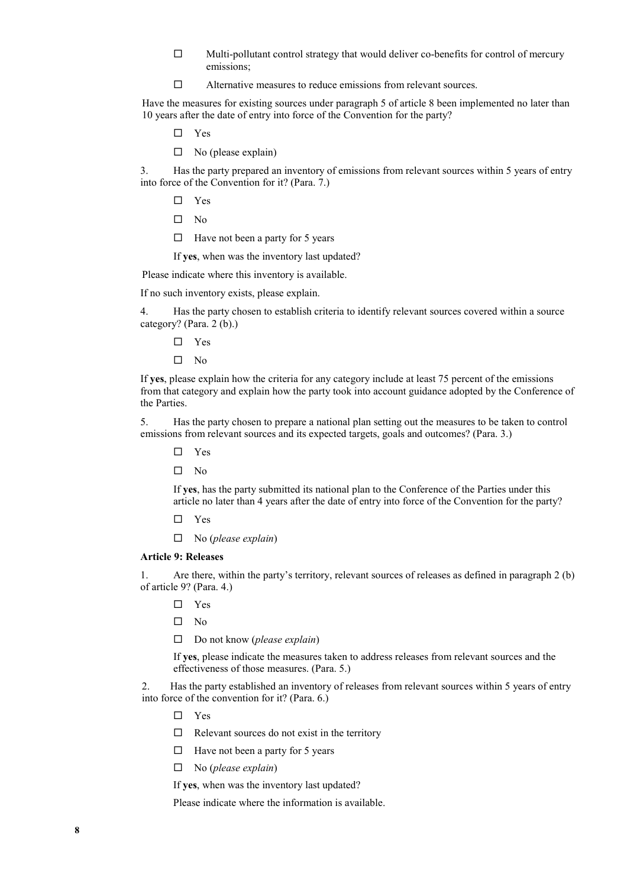- $\Box$  Multi-pollutant control strategy that would deliver co-benefits for control of mercury emissions;
- $\Box$  Alternative measures to reduce emissions from relevant sources.

Have the measures for existing sources under paragraph 5 of article 8 been implemented no later than 10 years after the date of entry into force of the Convention for the party?

Yes

 $\square$  No (please explain)

3. Has the party prepared an inventory of emissions from relevant sources within 5 years of entry into force of the Convention for it? (Para. 7.)

- Yes
- $\square$  No
- $\Box$  Have not been a party for 5 years

If **yes**, when was the inventory last updated?

Please indicate where this inventory is available.

If no such inventory exists, please explain.

4. Has the party chosen to establish criteria to identify relevant sources covered within a source category? (Para. 2 (b).)

- Yes
- $\square$  No

If **yes**, please explain how the criteria for any category include at least 75 percent of the emissions from that category and explain how the party took into account guidance adopted by the Conference of the Parties.

5. Has the party chosen to prepare a national plan setting out the measures to be taken to control emissions from relevant sources and its expected targets, goals and outcomes? (Para. 3.)

- □ Yes
- $\Box$  No

If **yes**, has the party submitted its national plan to the Conference of the Parties under this article no later than 4 years after the date of entry into force of the Convention for the party?

- Yes
- No (*please explain*)

#### **Article 9: Releases**

1. Are there, within the party's territory, relevant sources of releases as defined in paragraph 2 (b) of article 9? (Para. 4.)

- Yes
- $\Box$  No
- Do not know (*please explain*)

If **yes**, please indicate the measures taken to address releases from relevant sources and the effectiveness of those measures. (Para. 5.)

2. Has the party established an inventory of releases from relevant sources within 5 years of entry into force of the convention for it? (Para. 6.)

- Yes
- $\Box$  Relevant sources do not exist in the territory
- $\Box$  Have not been a party for 5 years
- No (*please explain*)

If **yes**, when was the inventory last updated?

Please indicate where the information is available.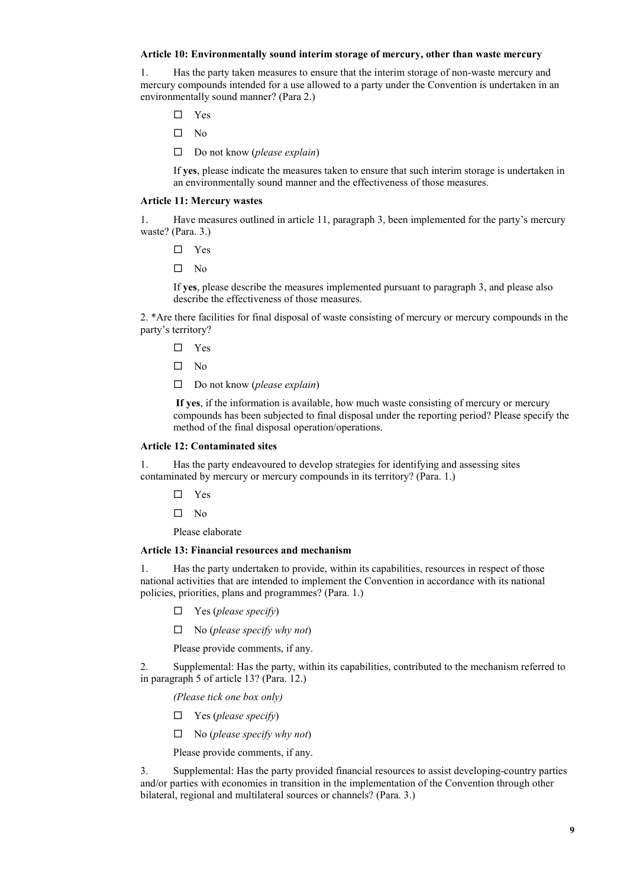#### **Article 10: Environmentally sound interim storage of mercury, other than waste mercury**

1. Has the party taken measures to ensure that the interim storage of non-waste mercury and mercury compounds intended for a use allowed to a party under the Convention is undertaken in an environmentally sound manner? (Para 2.)

- □ Yes
- $\square$  No
- Do not know (*please explain*)

If **yes**, please indicate the measures taken to ensure that such interim storage is undertaken in an environmentally sound manner and the effectiveness of those measures.

#### **Article 11: Mercury wastes**

1. Have measures outlined in article 11, paragraph 3, been implemented for the party's mercury waste? (Para. 3.)

- Yes
- $\square$  No

If **yes**, please describe the measures implemented pursuant to paragraph 3, and please also describe the effectiveness of those measures.

2. \*Are there facilities for final disposal of waste consisting of mercury or mercury compounds in the party's territory?

- Yes
- $\square$  No
- Do not know (*please explain*)

**If yes**, if the information is available, how much waste consisting of mercury or mercury compounds has been subjected to final disposal under the reporting period? Please specify the method of the final disposal operation/operations.

#### **Article 12: Contaminated sites**

1. Has the party endeavoured to develop strategies for identifying and assessing sites contaminated by mercury or mercury compounds in its territory? (Para. 1.)

- $\square$  Yes
- $\Box$  No

Please elaborate

#### **Article 13: Financial resources and mechanism**

1. Has the party undertaken to provide, within its capabilities, resources in respect of those national activities that are intended to implement the Convention in accordance with its national policies, priorities, plans and programmes? (Para. 1.)

- Yes (*please specify*)
- No (*please specify why not*)

Please provide comments, if any.

2. Supplemental: Has the party, within its capabilities, contributed to the mechanism referred to in paragraph 5 of article 13? (Para. 12.)

*(Please tick one box only)*

- Yes (*please specify*)
- No (*please specify why not*)

Please provide comments, if any.

3. Supplemental: Has the party provided financial resources to assist developing-country parties and/or parties with economies in transition in the implementation of the Convention through other bilateral, regional and multilateral sources or channels? (Para. 3.)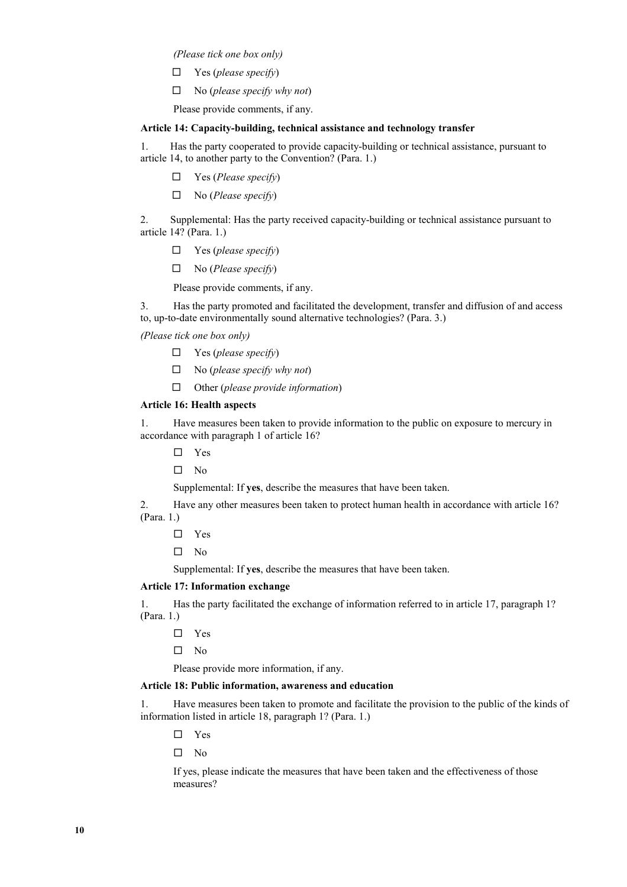*(Please tick one box only)*

- Yes (*please specify*)
- No (*please specify why not*)
- Please provide comments, if any.

#### **Article 14: Capacity-building, technical assistance and technology transfer**

1. Has the party cooperated to provide capacity-building or technical assistance, pursuant to article 14, to another party to the Convention? (Para. 1.)

- Yes (*Please specify*)
- No (*Please specify*)

2. Supplemental: Has the party received capacity-building or technical assistance pursuant to article 14? (Para. 1.)

- Yes (*please specify*)
- No (*Please specify*)

Please provide comments, if any.

3. Has the party promoted and facilitated the development, transfer and diffusion of and access to, up-to-date environmentally sound alternative technologies? (Para. 3.)

*(Please tick one box only)*

- Yes (*please specify*)
- No (*please specify why not*)
- Other (*please provide information*)

#### **Article 16: Health aspects**

1. Have measures been taken to provide information to the public on exposure to mercury in accordance with paragraph 1 of article 16?

- □ Yes
- $\square$  No

Supplemental: If **yes**, describe the measures that have been taken.

2. Have any other measures been taken to protect human health in accordance with article 16? (Para. 1.)

- □ Yes
- $\square$  No

Supplemental: If **yes**, describe the measures that have been taken.

#### **Article 17: Information exchange**

1. Has the party facilitated the exchange of information referred to in article 17, paragraph 1? (Para. 1.)

- □ Yes
- $\square$  No

Please provide more information, if any.

#### **Article 18: Public information, awareness and education**

1. Have measures been taken to promote and facilitate the provision to the public of the kinds of information listed in article 18, paragraph 1? (Para. 1.)

□ Yes

 $\square$  No

If yes, please indicate the measures that have been taken and the effectiveness of those measures?